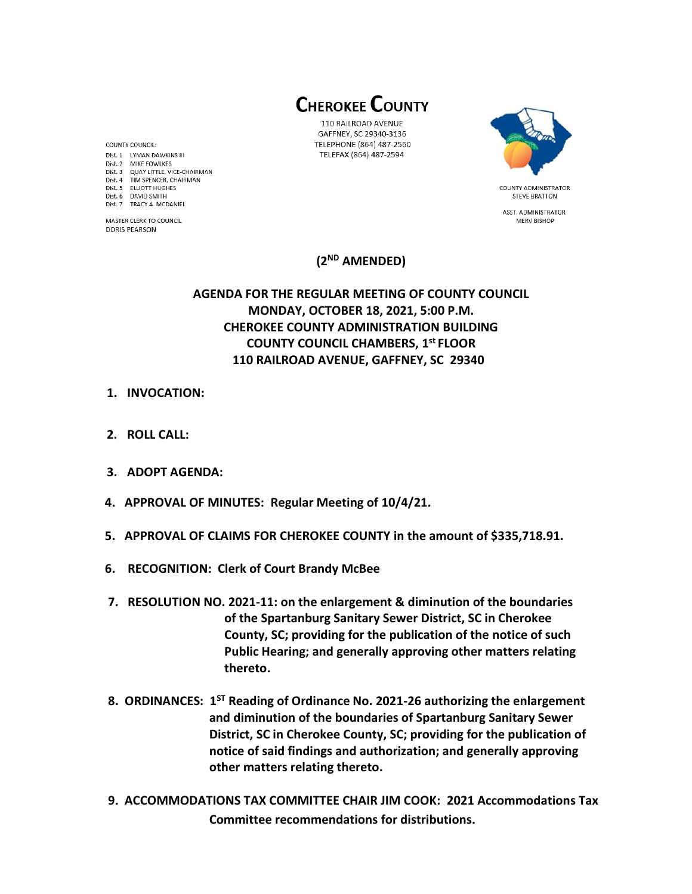**CHEROKEE COUNTY** 

110 RAILROAD AVENUE GAFFNEY, SC 29340-3136 TELEPHONE (864) 487-2560 TELEFAX (864) 487-2594



**STEVE BRATTON** ASST. ADMINISTRATOR

MERV BISHOP

# **(2 ND AMENDED)**

# **AGENDA FOR THE REGULAR MEETING OF COUNTY COUNCIL MONDAY, OCTOBER 18, 2021, 5:00 P.M. CHEROKEE COUNTY ADMINISTRATION BUILDING COUNTY COUNCIL CHAMBERS, 1 st FLOOR 110 RAILROAD AVENUE, GAFFNEY, SC 29340**

- **1. INVOCATION:**
- **2. ROLL CALL:**
- **3. ADOPT AGENDA:**
- **4. APPROVAL OF MINUTES: Regular Meeting of 10/4/21.**
- **5. APPROVAL OF CLAIMS FOR CHEROKEE COUNTY in the amount of \$335,718.91.**
- **6. RECOGNITION: Clerk of Court Brandy McBee**
- **7. RESOLUTION NO. 2021-11: on the enlargement & diminution of the boundaries of the Spartanburg Sanitary Sewer District, SC in Cherokee County, SC; providing for the publication of the notice of such Public Hearing; and generally approving other matters relating thereto.**
- **8. ORDINANCES: 1ST Reading of Ordinance No. 2021-26 authorizing the enlargement and diminution of the boundaries of Spartanburg Sanitary Sewer District, SC in Cherokee County, SC; providing for the publication of notice of said findings and authorization; and generally approving other matters relating thereto.**
- **9. ACCOMMODATIONS TAX COMMITTEE CHAIR JIM COOK: 2021 Accommodations Tax Committee recommendations for distributions.**

COUNTY COUNCIL: Dist. 1 LYMAN DAWKINS III Dist. 2 MIKE FOWLKES Dist. 3 QUAY LITTLE, VICE-CHAIRMAN Dist. 4 TIM SPENCER, CHAIRMAN Dist. 5 ELLIOTT HUGHES Dist. 6 DAVID SMITH Dist. 7 TRACY A. MCDANIEL

MASTER CLERK TO COUNCIL **DORIS PEARSON**